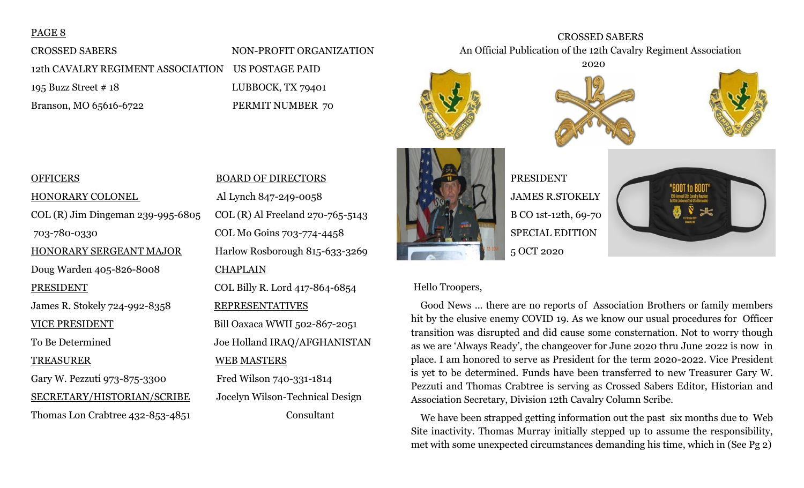## PAGE 8

# CROSSED SABERS NON-PROFIT ORGANIZATION 12th CAVALRY REGIMENT ASSOCIATION US POSTAGE PAID 195 Buzz Street # 18 LUBBOCK, TX 79401 Branson, MO 65616-6722 PERMIT NUMBER 70





CROSSED SABERS An Official Publication of the 12th Cavalry Regiment Association



# PRESIDENT JAMES R.STOKELY B CO 1st-12th, 69-70 SPECIAL EDITION 5 OCT 2020



#### Hello Troopers,

 Good News ... there are no reports of Association Brothers or family members hit by the elusive enemy COVID 19. As we know our usual procedures for Officer transition was disrupted and did cause some consternation. Not to worry though as we are 'Always Ready', the changeover for June 2020 thru June 2022 is now in place. I am honored to serve as President for the term 2020-2022. Vice President is yet to be determined. Funds have been transferred to new Treasurer Gary W. Pezzuti and Thomas Crabtree is serving as Crossed Sabers Editor, Historian and Association Secretary, Division 12th Cavalry Column Scribe.

 We have been strapped getting information out the past six months due to Web Site inactivity. Thomas Murray initially stepped up to assume the responsibility, met with some unexpected circumstances demanding his time, which in (See Pg 2)

# HONORARY COLONEL Al Lynch 847-249-0058 COL (R) Jim Dingeman 239-995-6805 COL (R) Al Freeland 270-765-5143 703-780-0330 COL Mo Goins 703-774-4458 HONORARY SERGEANT MAJOR Harlow Rosborough 815-633-3269 Doug Warden 405-826-8008 CHAPLAIN PRESIDENT COL Billy R. Lord 417-864-6854 James R. Stokely 724-992-8358 REPRESENTATIVES VICE PRESIDENT Bill Oaxaca WWII 502-867-2051 To Be Determined Joe Holland IRAQ/AFGHANISTAN TREASURER WEB MASTERS Gary W. Pezzuti 973-875-3300 Fred Wilson 740-331-1814 SECRETARY/HISTORIAN/SCRIBE Jocelyn Wilson-Technical Design

# OFFICERS BOARD OF DIRECTORS

Thomas Lon Crabtree 432-853-4851 Consultant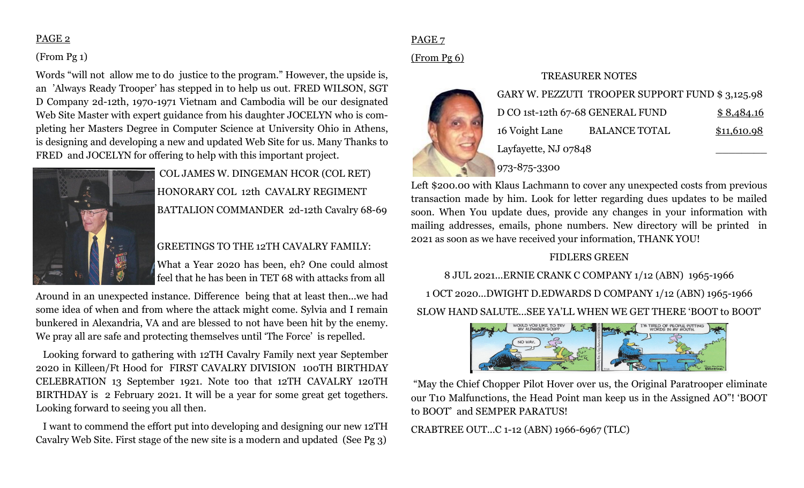### PAGE 2

## (From Pg 1)

Words "will not allow me to do justice to the program." However, the upside is, an 'Always Ready Trooper' has stepped in to help us out. FRED WILSON, SGT D Company 2d-12th, 1970-1971 Vietnam and Cambodia will be our designated Web Site Master with expert guidance from his daughter JOCELYN who is completing her Masters Degree in Computer Science at University Ohio in Athens, is designing and developing a new and updated Web Site for us. Many Thanks to FRED and JOCELYN for offering to help with this important project.



COL JAMES W. DINGEMAN HCOR (COL RET) HONORARY COL 12th CAVALRY REGIMENT BATTALION COMMANDER 2d-12th Cavalry 68-69

# GREETINGS TO THE 12TH CAVALRY FAMILY:

What a Year 2020 has been, eh? One could almost feel that he has been in TET 68 with attacks from all

Around in an unexpected instance. Difference being that at least then...we had some idea of when and from where the attack might come. Sylvia and I remain bunkered in Alexandria, VA and are blessed to not have been hit by the enemy. We pray all are safe and protecting themselves until 'The Force' is repelled.

 Looking forward to gathering with 12TH Cavalry Family next year September 2020 in Killeen/Ft Hood for FIRST CAVALRY DIVISION 100TH BIRTHDAY CELEBRATION 13 September 1921. Note too that 12TH CAVALRY 120TH BIRTHDAY is 2 February 2021. It will be a year for some great get togethers. Looking forward to seeing you all then.

 I want to commend the effort put into developing and designing our new 12TH Cavalry Web Site. First stage of the new site is a modern and updated (See Pg 3)

# PAGE 7

# (From Pg 6)

#### TREASURER NOTES



|  |                                  | GARY W. PEZZUTI TROOPER SUPPORT FUND \$3,125.98 |             |
|--|----------------------------------|-------------------------------------------------|-------------|
|  | D CO 1st-12th 67-68 GENERAL FUND |                                                 | \$8,484.16  |
|  | 16 Voight Lane                   | <b>BALANCE TOTAL</b>                            | \$11,610.98 |
|  | Layfayette, NJ 07848             |                                                 |             |
|  | 973-875-3300                     |                                                 |             |

Left \$200.00 with Klaus Lachmann to cover any unexpected costs from previous transaction made by him. Look for letter regarding dues updates to be mailed soon. When You update dues, provide any changes in your information with mailing addresses, emails, phone numbers. New directory will be printed in 2021 as soon as we have received your information, THANK YOU!

# FIDLERS GREEN

8 JUL 2021...ERNIE CRANK C COMPANY 1/12 (ABN) 1965-1966 1 OCT 2020...DWIGHT D.EDWARDS D COMPANY 1/12 (ABN) 1965-1966 SLOW HAND SALUTE...SEE YA'LL WHEN WE GET THERE 'BOOT to BOOT'



"May the Chief Chopper Pilot Hover over us, the Original Paratrooper eliminate our T10 Malfunctions, the Head Point man keep us in the Assigned AO"! 'BOOT to BOOT' and SEMPER PARATUS!

CRABTREE OUT...C 1-12 (ABN) 1966-6967 (TLC)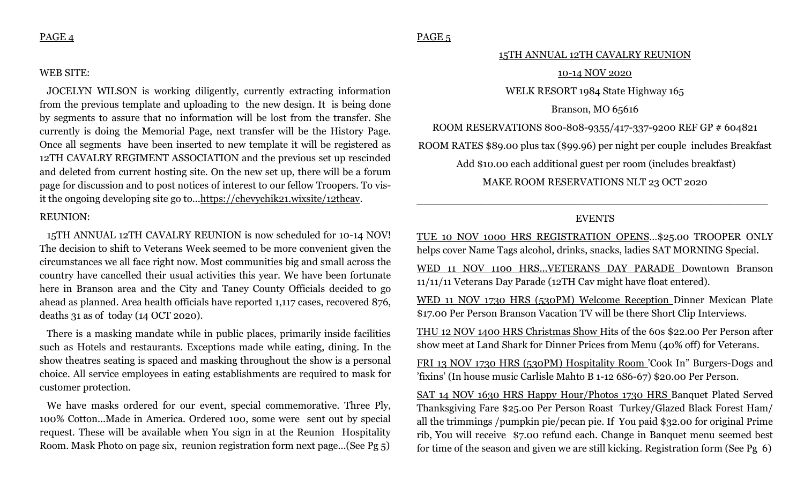#### PAGE 4

#### WEB SITE:

 JOCELYN WILSON is working diligently, currently extracting information from the previous template and uploading to the new design. It is being done by segments to assure that no information will be lost from the transfer. She currently is doing the Memorial Page, next transfer will be the History Page. Once all segments have been inserted to new template it will be registered as 12TH CAVALRY REGIMENT ASSOCIATION and the previous set up rescinded and deleted from current hosting site. On the new set up, there will be a forum page for discussion and to post notices of interest to our fellow Troopers. To visit the ongoing developing site go to...https://chevychik21.wixsite/12thcav.

#### REUNION:

 15TH ANNUAL 12TH CAVALRY REUNION is now scheduled for 10-14 NOV! The decision to shift to Veterans Week seemed to be more convenient given the circumstances we all face right now. Most communities big and small across the country have cancelled their usual activities this year. We have been fortunate here in Branson area and the City and Taney County Officials decided to go ahead as planned. Area health officials have reported 1,117 cases, recovered 876, deaths 31 as of today (14 OCT 2020).

 There is a masking mandate while in public places, primarily inside facilities such as Hotels and restaurants. Exceptions made while eating, dining. In the show theatres seating is spaced and masking throughout the show is a personal choice. All service employees in eating establishments are required to mask for customer protection.

 We have masks ordered for our event, special commemorative. Three Ply, 100% Cotton...Made in America. Ordered 100, some were sent out by special request. These will be available when You sign in at the Reunion Hospitality Room. Mask Photo on page six, reunion registration form next page...(See Pg 5)

## PAGE<sub>5</sub>

#### 15TH ANNUAL 12TH CAVALRY REUNION

#### 10-14 NOV 2020

WELK RESORT 1984 State Highway 165

Branson, MO 65616

ROOM RESERVATIONS 800-808-9355/417-337-9200 REF GP # 604821

ROOM RATES \$89.00 plus tax (\$99.96) per night per couple includes Breakfast

Add \$10.00 each additional guest per room (includes breakfast)

MAKE ROOM RESERVATIONS NLT 23 OCT 2020

#### EVENTS

\_\_\_\_\_\_\_\_\_\_\_\_\_\_\_\_\_\_\_\_\_\_\_\_\_\_\_\_\_\_\_\_\_\_\_\_\_\_\_\_\_\_\_\_\_\_\_\_\_\_\_\_\_\_\_

TUE 10 NOV 1000 HRS REGISTRATION OPENS…\$25.00 TROOPER ONLY helps cover Name Tags alcohol, drinks, snacks, ladies SAT MORNING Special.

WED 11 NOV 1100 HRS...VETERANS DAY PARADE Downtown Branson 11/11/11 Veterans Day Parade (12TH Cav might have float entered).

WED 11 NOV 1730 HRS (530PM) Welcome Reception Dinner Mexican Plate \$17.00 Per Person Branson Vacation TV will be there Short Clip Interviews.

THU 12 NOV 1400 HRS Christmas Show Hits of the 60s \$22.00 Per Person after show meet at Land Shark for Dinner Prices from Menu (40% off) for Veterans.

FRI 13 NOV 1730 HRS (530PM) Hospitality Room 'Cook In" Burgers-Dogs and 'fixins' (In house music Carlisle Mahto B 1-12 6S6-67) \$20.00 Per Person.

SAT 14 NOV 1630 HRS Happy Hour/Photos 1730 HRS Banquet Plated Served Thanksgiving Fare \$25.00 Per Person Roast Turkey/Glazed Black Forest Ham/ all the trimmings /pumpkin pie/pecan pie. If You paid \$32.00 for original Prime rib, You will receive \$7.00 refund each. Change in Banquet menu seemed best for time of the season and given we are still kicking. Registration form (See Pg 6)